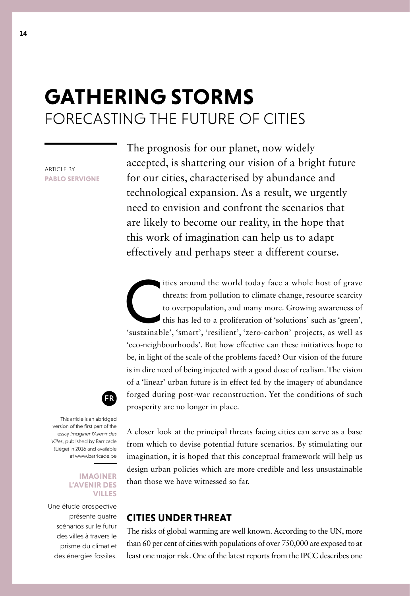# **GATHERING STORMS** FORECASTING THE FUTURE OF CITIES

**ARTICLE BY PABLO SERVIGNE**

The prognosis for our planet, now widely accepted, is shattering our vision of a bright future for our cities, characterised by abundance and technological expansion. As a result, we urgently need to envision and confront the scenarios that are likely to become our reality, in the hope that this work of imagination can help us to adapt effectively and perhaps steer a different course.

ities around the world today face a whole host of grave<br>threats: from pollution to climate change, resource scarcity<br>to overpopulation, and many more. Growing awareness of<br>this has led to a proliferation of 'solutions' suc threats: from pollution to climate change, resource scarcity to overpopulation, and many more. Growing awareness of this has led to a proliferation of 'solutions' such as 'green', 'sustainable', 'smart', 'resilient', 'zero-carbon' projects, as well as 'eco-neighbourhoods'. But how effective can these initiatives hope to be, in light of the scale of the problems faced? Our vision of the future is in dire need of being injected with a good dose of realism. The vision of a 'linear' urban future is in effect fed by the imagery of abundance forged during post-war reconstruction. Yet the conditions of such prosperity are no longer in place.



 This article is an abridged version of the first part of the essay *Imaginer l'Avenir des Villes*, published by Barricade (Liège) in 2016 and available at www.barricade.be

#### **IMAGINER L'AVENIR DES VILLES**

Une étude prospective présente quatre scénarios sur le futur des villes à travers le prisme du climat et des énergies fossiles.

A closer look at the principal threats facing cities can serve as a base from which to devise potential future scenarios. By stimulating our imagination, it is hoped that this conceptual framework will help us design urban policies which are more credible and less unsustainable than those we have witnessed so far.

## **CITIES UNDER THREAT**

The risks of global warming are well known. According to the UN, more than 60 per cent of cities with populations of over 750,000 are exposed to at least one major risk. One of the latest reports from the IPCC describes one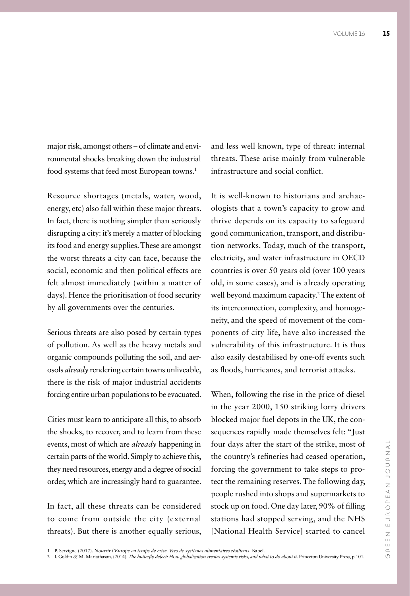major risk, amongst others – of climate and environmental shocks breaking down the industrial food systems that feed most European towns.<sup>1</sup>

Resource shortages (metals, water, wood, energy, etc) also fall within these major threats. In fact, there is nothing simpler than seriously disrupting a city: it's merely a matter of blocking its food and energy supplies. These are amongst the worst threats a city can face, because the social, economic and then political effects are felt almost immediately (within a matter of days). Hence the prioritisation of food security by all governments over the centuries.

Serious threats are also posed by certain types of pollution. As well as the heavy metals and organic compounds polluting the soil, and aerosols *already* rendering certain towns unliveable, there is the risk of major industrial accidents forcing entire urban populations to be evacuated.

Cities must learn to anticipate all this, to absorb the shocks, to recover, and to learn from these events, most of which are *already* happening in certain parts of the world. Simply to achieve this, they need resources, energy and a degree of social order, which are increasingly hard to guarantee.

In fact, all these threats can be considered to come from outside the city (external threats). But there is another equally serious, and less well known, type of threat: internal threats. These arise mainly from vulnerable infrastructure and social conflict.

It is well-known to historians and archaeologists that a town's capacity to grow and thrive depends on its capacity to safeguard good communication, transport, and distribution networks. Today, much of the transport, electricity, and water infrastructure in OECD countries is over 50 years old (over 100 years old, in some cases), and is already operating well beyond maximum capacity.<sup>2</sup> The extent of its interconnection, complexity, and homogeneity, and the speed of movement of the components of city life, have also increased the vulnerability of this infrastructure. It is thus also easily destabilised by one-off events such as floods, hurricanes, and terrorist attacks.

When, following the rise in the price of diesel in the year 2000, 150 striking lorry drivers blocked major fuel depots in the UK, the consequences rapidly made themselves felt: "Just four days after the start of the strike, most of the country's refineries had ceased operation, forcing the government to take steps to protect the remaining reserves. The following day, people rushed into shops and supermarkets to stock up on food. One day later, 90% of filling stations had stopped serving, and the NHS [National Health Service] started to cancel

<sup>1</sup> P. Servigne (2017). *Nourrir l'Europe en temps de crise. Vers de systèmes alimentaires résilients,* Babel.

<sup>2</sup> I. Goldin & M. Mariathasan, (2014). *The butterfly defect: How globalization creates systemic risks, and what to do about it*. Princeton University Press, p.101.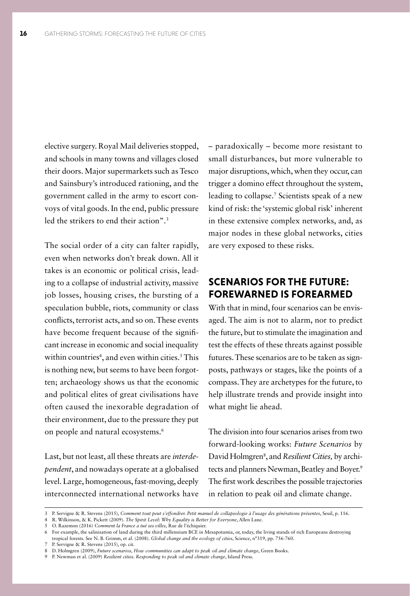elective surgery. Royal Mail deliveries stopped, and schools in many towns and villages closed their doors. Major supermarkets such as Tesco and Sainsbury's introduced rationing, and the government called in the army to escort convoys of vital goods. In the end, public pressure led the strikers to end their action".<sup>3</sup>

The social order of a city can falter rapidly, even when networks don't break down. All it takes is an economic or political crisis, leading to a collapse of industrial activity, massive job losses, housing crises, the bursting of a speculation bubble, riots, community or class conflicts, terrorist acts, and so on. These events have become frequent because of the significant increase in economic and social inequality within countries<sup>4</sup>, and even within cities.<sup>5</sup> This is nothing new, but seems to have been forgotten; archaeology shows us that the economic and political elites of great civilisations have often caused the inexorable degradation of their environment, due to the pressure they put on people and natural ecosystems.6

Last, but not least, all these threats are *interdependent*, and nowadays operate at a globalised level. Large, homogeneous, fast-moving, deeply interconnected international networks have – paradoxically – become more resistant to small disturbances, but more vulnerable to major disruptions, which, when they occur, can trigger a domino effect throughout the system, leading to collapse.<sup>7</sup> Scientists speak of a new kind of risk: the 'systemic global risk' inherent in these extensive complex networks, and, as major nodes in these global networks, cities are very exposed to these risks.

# **SCENARIOS FOR THE FUTURE: FOREWARNED IS FOREARMED**

With that in mind, four scenarios can be envisaged. The aim is not to alarm, nor to predict the future, but to stimulate the imagination and test the effects of these threats against possible futures. These scenarios are to be taken as signposts, pathways or stages, like the points of a compass. They are archetypes for the future, to help illustrate trends and provide insight into what might lie ahead.

The division into four scenarios arises from two forward-looking works: *Future Scenarios* by David Holmgren<sup>8</sup>, and *Resilient Cities*, by architects and planners Newman, Beatley and Boyer.<sup>9</sup> The first work describes the possible trajectories in relation to peak oil and climate change.

<sup>3</sup> P. Servigne & R. Stevens (2015), *Comment tout peut s'effondrer. Petit manuel de collapsologie à l'usage des générations présentes*, Seuil, p. 116.

<sup>4</sup> R. Wilkinson, & K. Pickett (2009). *The Spirit Level: Why Equality is Better for Everyone*, Allen Lane.

<sup>5</sup> O. Razemon (2016) *Comment la France a tué ses villes,* Rue de l'échiquier.

<sup>6</sup> For example, the salinisation of land during the third millennium BCE in Mesapotamia, or, today, the living stands of rich Europeans destroying tropical forests. See N. B. Grimm, et al. (2008). *Global change and the ecology of cities*, Science, n°319, pp. 756-760.

<sup>7</sup> P. Servigne & R. Stevens (2015), op. cit.

<sup>8</sup> D. Holmgren (2009), *Future scenarios, How communities can adapt to peak oil and climate change*, Green Books.

<sup>9</sup> P. Newman et al. (2009) *Resilient cities. Responding to peak oil and climate change*, Island Press.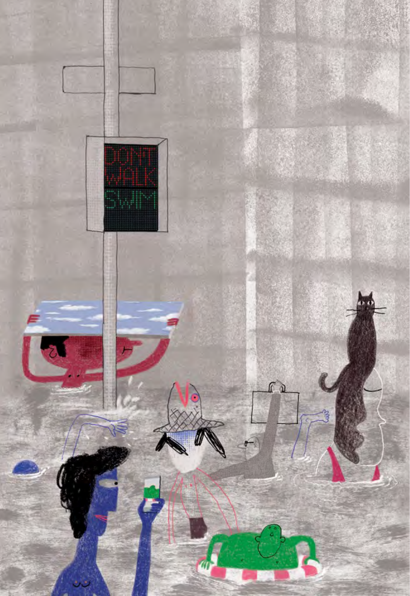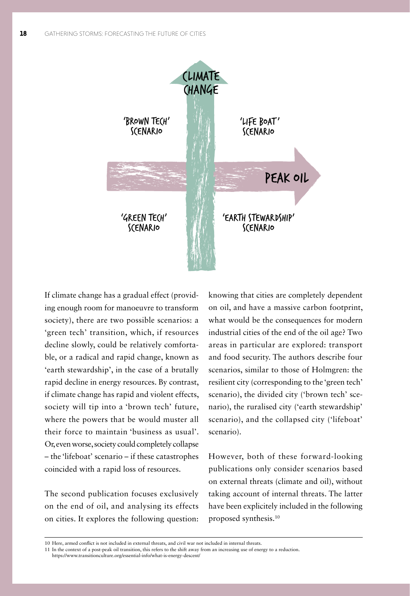

If climate change has a gradual effect (providing enough room for manoeuvre to transform society), there are two possible scenarios: a 'green tech' transition, which, if resources decline slowly, could be relatively comfortable, or a radical and rapid change, known as 'earth stewardship', in the case of a brutally rapid decline in energy resources. By contrast, if climate change has rapid and violent effects, society will tip into a 'brown tech' future, where the powers that be would muster all their force to maintain 'business as usual'. Or, even worse, society could completely collapse – the 'lifeboat' scenario – if these catastrophes coincided with a rapid loss of resources.

The second publication focuses exclusively on the end of oil, and analysing its effects on cities. It explores the following question: knowing that cities are completely dependent on oil, and have a massive carbon footprint, what would be the consequences for modern industrial cities of the end of the oil age? Two areas in particular are explored: transport and food security. The authors describe four scenarios, similar to those of Holmgren: the resilient city (corresponding to the 'green tech' scenario), the divided city ('brown tech' scenario), the ruralised city ('earth stewardship' scenario), and the collapsed city ('lifeboat' scenario).

However, both of these forward-looking publications only consider scenarios based on external threats (climate and oil), without taking account of internal threats. The latter have been explicitely included in the following proposed synthesis.10

10 Here, armed conflict is not included in external threats, and civil war not included in internal threats.

11 In the context of a post-peak oil transition, this refers to the shift away from an increasing use of energy to a reduction.

https://www.transitionculture.org/essential-info/what-is-energy-descent/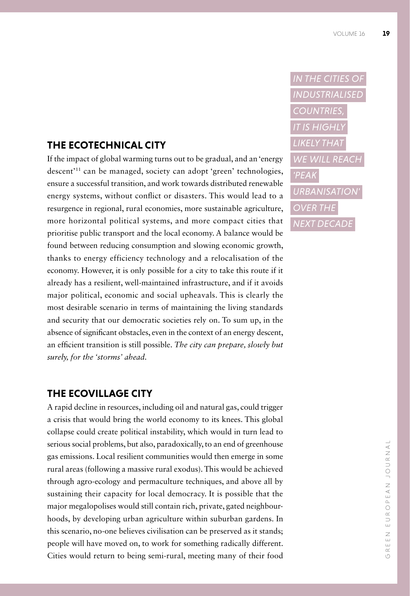# **THE ECOTECHNICAL CITY**

If the impact of global warming turns out to be gradual, and an 'energy descent'11 can be managed, society can adopt 'green' technologies, ensure a successful transition, and work towards distributed renewable energy systems, without conflict or disasters. This would lead to a resurgence in regional, rural economies, more sustainable agriculture, more horizontal political systems, and more compact cities that prioritise public transport and the local economy. A balance would be found between reducing consumption and slowing economic growth, thanks to energy efficiency technology and a relocalisation of the economy. However, it is only possible for a city to take this route if it already has a resilient, well-maintained infrastructure, and if it avoids major political, economic and social upheavals. This is clearly the most desirable scenario in terms of maintaining the living standards and security that our democratic societies rely on. To sum up, in the absence of significant obstacles, even in the context of an energy descent, an efficient transition is still possible. *The city can prepare, slowly but surely, for the 'storms' ahead.*

## **THE ECOVILLAGE CITY**

A rapid decline in resources, including oil and natural gas, could trigger a crisis that would bring the world economy to its knees. This global collapse could create political instability, which would in turn lead to serious social problems, but also, paradoxically, to an end of greenhouse gas emissions. Local resilient communities would then emerge in some rural areas (following a massive rural exodus). This would be achieved through agro-ecology and permaculture techniques, and above all by sustaining their capacity for local democracy. It is possible that the major megalopolises would still contain rich, private, gated neighbourhoods, by developing urban agriculture within suburban gardens. In this scenario, no-one believes civilisation can be preserved as it stands; people will have moved on, to work for something radically different. Cities would return to being semi-rural, meeting many of their food

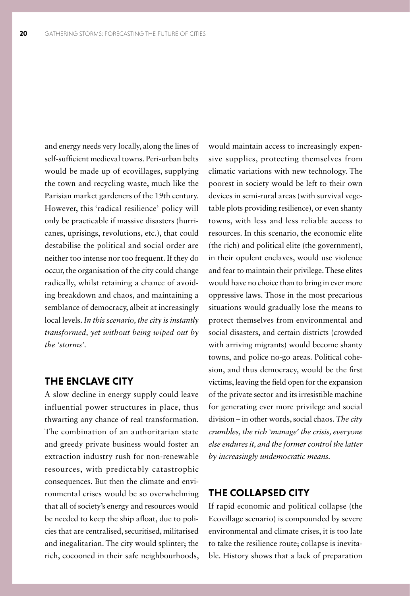and energy needs very locally, along the lines of self-sufficient medieval towns. Peri-urban belts would be made up of ecovillages, supplying the town and recycling waste, much like the Parisian market gardeners of the 19th century. However, this 'radical resilience' policy will only be practicable if massive disasters (hurricanes, uprisings, revolutions, etc.), that could destabilise the political and social order are neither too intense nor too frequent. If they do occur, the organisation of the city could change radically, whilst retaining a chance of avoiding breakdown and chaos, and maintaining a semblance of democracy, albeit at increasingly local levels. *In this scenario, the city is instantly transformed, yet without being wiped out by the 'storms'.*

#### **THE ENCLAVE CITY**

A slow decline in energy supply could leave influential power structures in place, thus thwarting any chance of real transformation. The combination of an authoritarian state and greedy private business would foster an extraction industry rush for non-renewable resources, with predictably catastrophic consequences. But then the climate and environmental crises would be so overwhelming that all of society's energy and resources would be needed to keep the ship afloat, due to policies that are centralised, securitised, militarised and inegalitarian. The city would splinter; the rich, cocooned in their safe neighbourhoods, would maintain access to increasingly expensive supplies, protecting themselves from climatic variations with new technology. The poorest in society would be left to their own devices in semi-rural areas (with survival vegetable plots providing resilience), or even shanty towns, with less and less reliable access to resources. In this scenario, the economic elite (the rich) and political elite (the government), in their opulent enclaves, would use violence and fear to maintain their privilege. These elites would have no choice than to bring in ever more oppressive laws. Those in the most precarious situations would gradually lose the means to protect themselves from environmental and social disasters, and certain districts (crowded with arriving migrants) would become shanty towns, and police no-go areas. Political cohesion, and thus democracy, would be the first victims, leaving the field open for the expansion of the private sector and its irresistible machine for generating ever more privilege and social division – in other words, social chaos. *The city crumbles, the rich 'manage' the crisis, everyone else endures it, and the former control the latter by increasingly undemocratic means.*

#### **THE COLLAPSED CITY**

If rapid economic and political collapse (the Ecovillage scenario) is compounded by severe environmental and climate crises, it is too late to take the resilience route; collapse is inevitable. History shows that a lack of preparation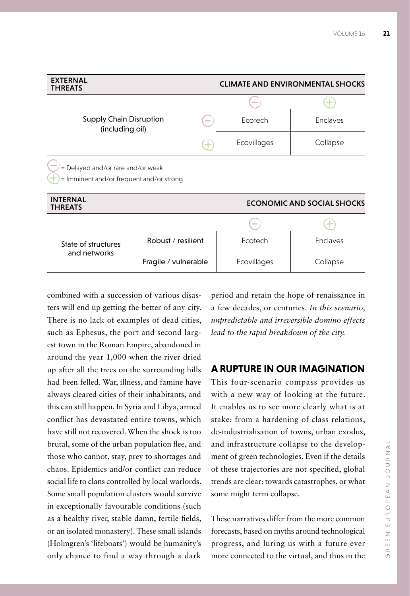

combined with a succession of various disasters will end up getting the better of any city. There is no lack of examples of dead cities, such as Ephesus, the port and second largest town in the Roman Empire, abandoned in around the year 1,000 when the river dried up after all the trees on the surrounding hills had been felled. War, illness, and famine have always cleared cities of their inhabitants, and this can still happen. In Syria and Libya, armed conflict has devastated entire towns, which have still not recovered. When the shock is too brutal, some of the urban population flee, and those who cannot, stay, prey to shortages and chaos. Epidemics and/or conflict can reduce social life to clans controlled by local warlords. Some small population clusters would survive in exceptionally favourable conditions (such as a healthy river, stable damn, fertile fields, or an isolated monastery). These small islands (Holmgren's 'lifeboats') would be humanity's only chance to find a way through a dark

period and retain the hope of renaissance in a few decades, or centuries. *In this scenario, unpredictable and irreversible domino effects lead to the rapid breakdown of the city.*

# **A RUPTURE IN OUR IMAGINATION**

This four-scenario compass provides us with a new way of looking at the future. It enables us to see more clearly what is at stake: from a hardening of class relations, de-industrialisation of towns, urban exodus, and infrastructure collapse to the development of green technologies. Even if the details of these trajectories are not specified, global trends are clear: towards catastrophes, or what some might term collapse.

These narratives differ from the more common forecasts, based on myths around technological progress, and luring us with a future ever more connected to the virtual, and thus in the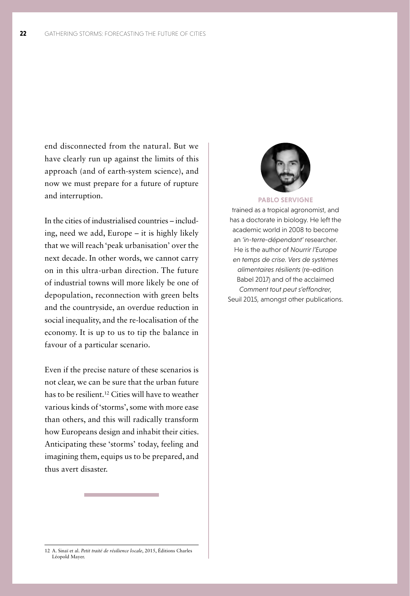end disconnected from the natural. But we have clearly run up against the limits of this approach (and of earth-system science), and now we must prepare for a future of rupture and interruption.

In the cities of industrialised countries – including, need we add, Europe – it is highly likely that we will reach 'peak urbanisation' over the next decade. In other words, we cannot carry on in this ultra-urban direction. The future of industrial towns will more likely be one of depopulation, reconnection with green belts and the countryside, an overdue reduction in social inequality, and the re-localisation of the economy. It is up to us to tip the balance in favour of a particular scenario.

Even if the precise nature of these scenarios is not clear, we can be sure that the urban future has to be resilient.<sup>12</sup> Cities will have to weather various kinds of 'storms', some with more ease than others, and this will radically transform how Europeans design and inhabit their cities. Anticipating these 'storms' today, feeling and imagining them, equips us to be prepared, and thus avert disaster.



#### **PABLO SERVIGNE**

trained as a tropical agronomist, and has a doctorate in biology. He left the academic world in 2008 to become an *'in-terre-dépendant'* researcher. He is the author of *Nourrir l'Europe en temps de crise. Vers de systèmes alimentaires résilients* (re-edition Babel 2017) and of the acclaimed *Comment tout peut s'effondrer,*  Seuil 2015*,* amongst other publications.

<sup>12</sup> A. Sinaï et al. *Petit traité de résilience locale*, 2015, Éditions Charles Léopold Mayer.